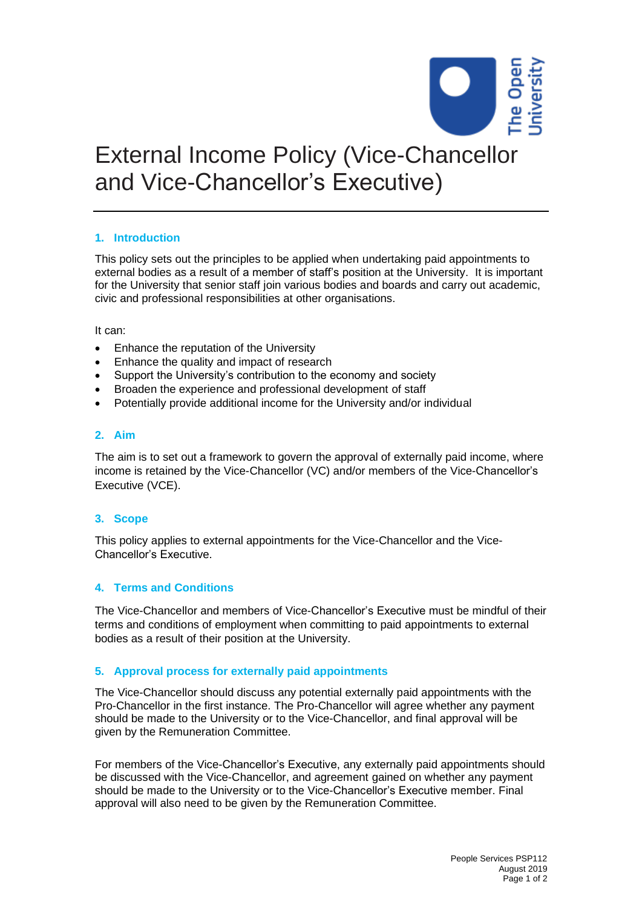

# External Income Policy (Vice-Chancellor and Vice-Chancellor's Executive)

### **1. Introduction**

This policy sets out the principles to be applied when undertaking paid appointments to external bodies as a result of a member of staff's position at the University. It is important for the University that senior staff join various bodies and boards and carry out academic, civic and professional responsibilities at other organisations.

It can:

- Enhance the reputation of the University
- Enhance the quality and impact of research
- Support the University's contribution to the economy and society
- Broaden the experience and professional development of staff
- Potentially provide additional income for the University and/or individual

#### **2. Aim**

The aim is to set out a framework to govern the approval of externally paid income, where income is retained by the Vice-Chancellor (VC) and/or members of the Vice-Chancellor's Executive (VCE).

## **3. Scope**

This policy applies to external appointments for the Vice-Chancellor and the Vice-Chancellor's Executive.

#### **4. Terms and Conditions**

The Vice-Chancellor and members of Vice-Chancellor's Executive must be mindful of their terms and conditions of employment when committing to paid appointments to external bodies as a result of their position at the University.

#### **5. Approval process for externally paid appointments**

The Vice-Chancellor should discuss any potential externally paid appointments with the Pro-Chancellor in the first instance. The Pro-Chancellor will agree whether any payment should be made to the University or to the Vice-Chancellor, and final approval will be given by the Remuneration Committee.

For members of the Vice-Chancellor's Executive, any externally paid appointments should be discussed with the Vice-Chancellor, and agreement gained on whether any payment should be made to the University or to the Vice-Chancellor's Executive member. Final approval will also need to be given by the Remuneration Committee.